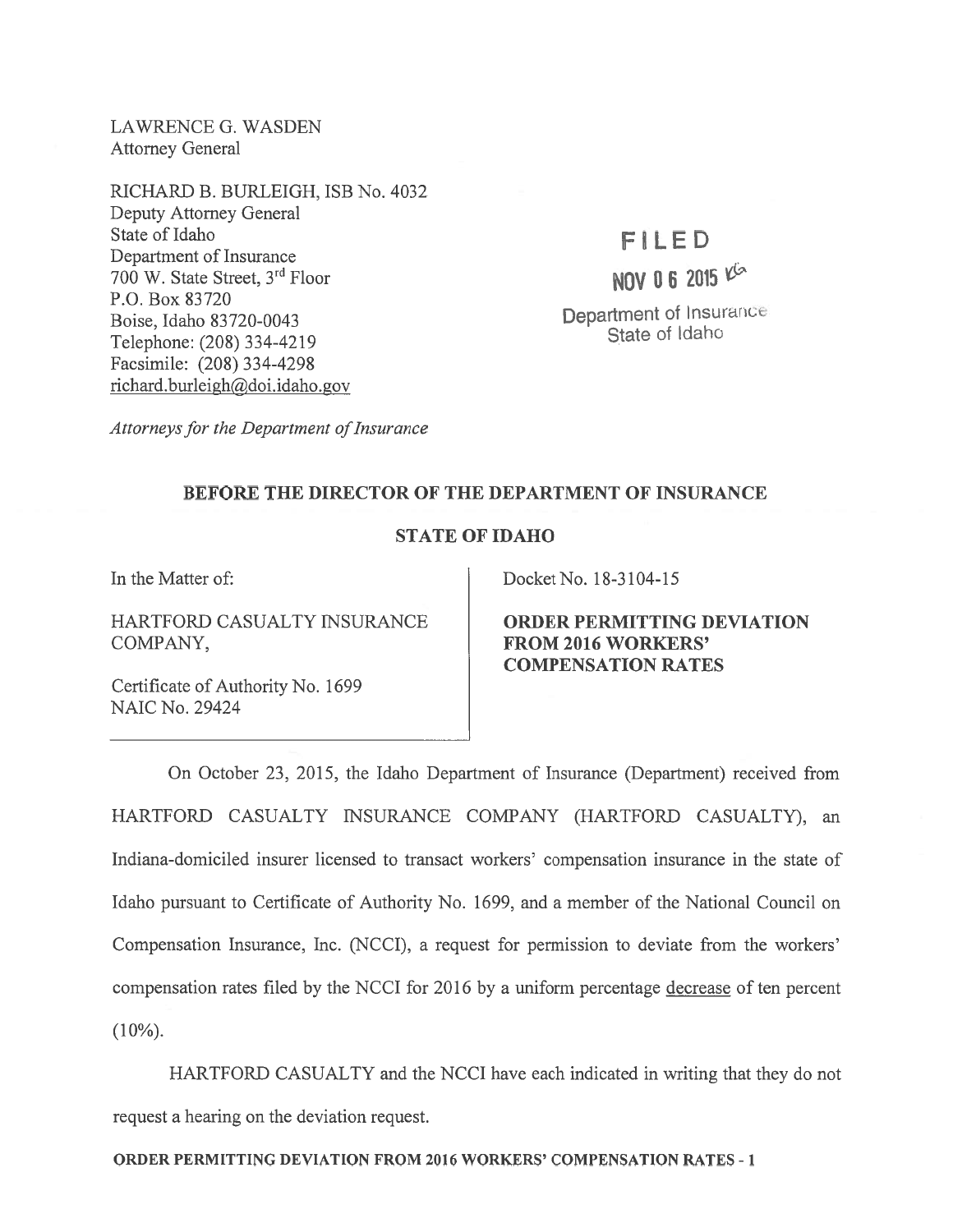LAWRENCE G. WASDEN Attorney General

RICHARD B. BURLEIGH, ISB No. 4032 Deputy Attorney General State of Idaho Department of Insurance 700 W. State Street, 3rd Floor P.O. Box 83720 Boise, Idaho 83720-0043 Telephone: (208) 334-4219 Facsimile: (208) 334-4298 richard.burleigh@doi.idaho.gov

# FILED NOV 0 6 2015 KG Department of Insurance State of Idaho

Attorneys for the Department of Insurance

### BEFORE THE DIRECTOR OF THE DEPARTMENT OF INSURANCE

## STATE OF IDAHO

HARTFORD CASUALTY INSURANCE ORDER PERMITTING DEVIATION COMPANY, FROM 2016 WORKERS'

Certificate of Authority No. 1699 NAIC No. 29424

In the Matter of: Docket No. 18-3104-15

COMPENSATION RATES

On October 23, 2015, the Idaho Department of Insurance (Department) received from HARTFORD CASUALTY INSURANCE COMPANY (HARTFORD CASUALTY), an Indiana-domiciled insurer licensed to transact workers' compensation insurance in the state of Idaho pursuan<sup>t</sup> to Certificate of Authority No. 1699, and <sup>a</sup> member of the National Council on Compensation Insurance, Inc. (NCCI), <sup>a</sup> reques<sup>t</sup> for permission to deviate from the workers' compensation rates filed by the NCCI for 2016 by a uniform percentage decrease of ten percent  $(10\%)$ .

HARTFORD CASUALTY and the NCCI have each indicated in writing that they do not reques<sup>t</sup> <sup>a</sup> hearing on the deviation request.

#### ORDER PERMITTING DEVIATION FROM 2016 WORKERS' COMPENSATION RATES -1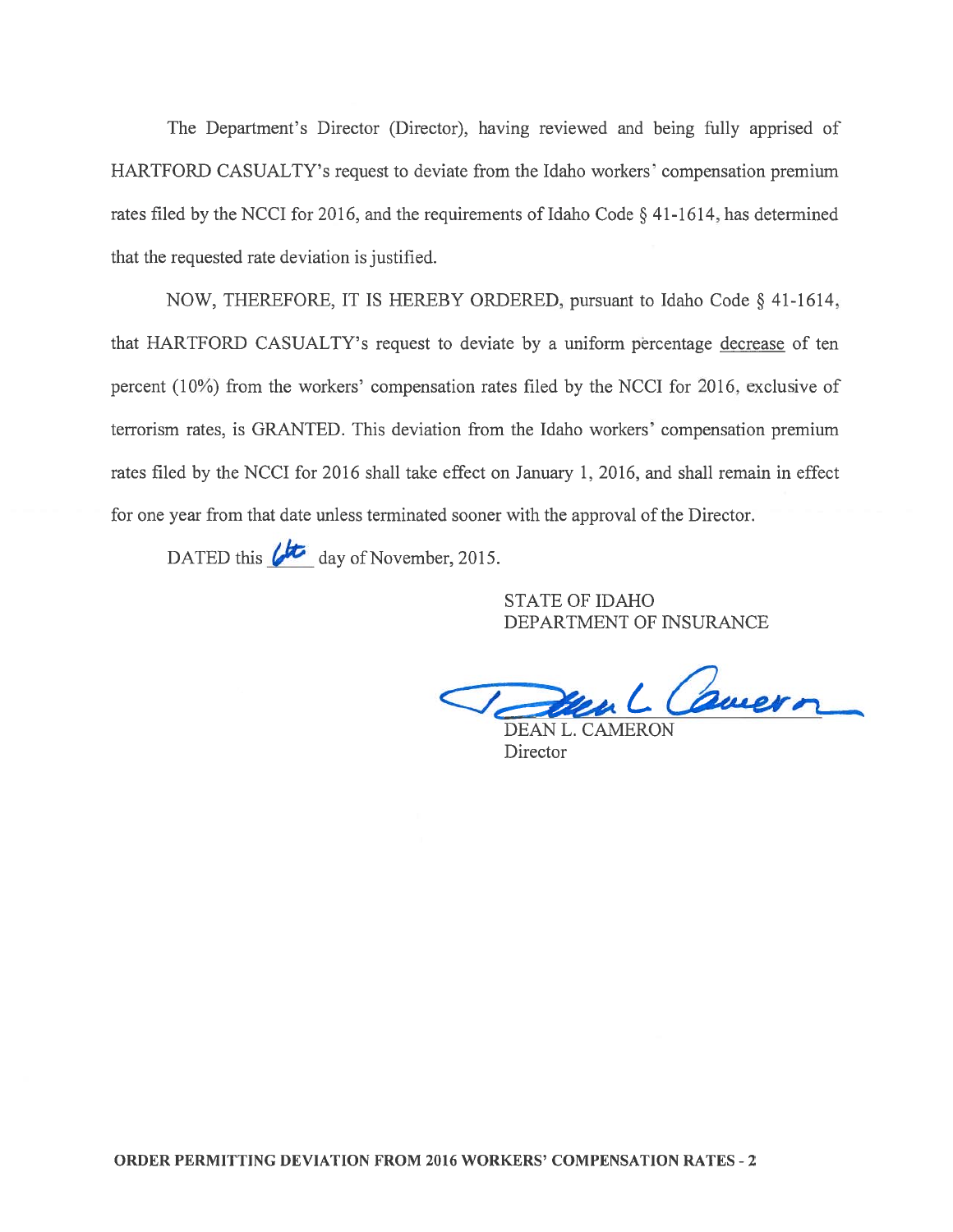The Department's Director (Director), having reviewed and being fully apprised of HARTFORD CASUALTY's reques<sup>t</sup> to deviate from the Idaho workers' compensation premium rates filed by the NCCI for 2016, and the requirements of Idaho Code § 41-1614, has determined that the requested rate deviation is justified.

NOW, THEREFORE, IT IS HEREBY ORDERED. pursuan<sup>t</sup> to Idaho Code § 41-1614, that HARTFORD CASUALTY's request to deviate by a uniform percentage decrease of ten percen<sup>t</sup> (10%) from the workers' compensation rates filed by the NCCI for 2016, exclusive of terrorism rates, is GRANTED. This deviation from the Idaho workers' compensation premium rates filed by the NCCI for 2016 shall take effect on January 1, 2016, and shall remain in effect for one year from that date unless terminated sooner with the approval of the Director. The Department's Director (Director), have<br>
"ORD CASUALTY's request to deviate from<br>
ed by the NCCI for 2016, and the requireme<br>
requested rate deviation is justified.<br>
NOW, THEREFORE, IT IS HEREBY OR<br>
RTFORD CASUALTY's re

STATE OF IDAHO DEPARTMENT OF INSURANCE

 $\mathcal L$ 

DEAN L. CAMERON Director